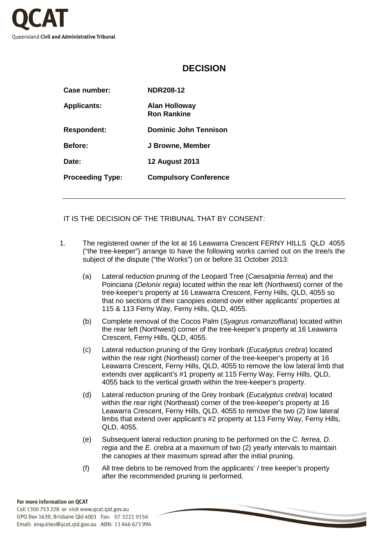

## **DECISION**

| Case number:            | <b>NDR208-12</b>                           |
|-------------------------|--------------------------------------------|
| <b>Applicants:</b>      | <b>Alan Holloway</b><br><b>Ron Rankine</b> |
| <b>Respondent:</b>      | <b>Dominic John Tennison</b>               |
| Before:                 | J Browne, Member                           |
| Date:                   | <b>12 August 2013</b>                      |
| <b>Proceeding Type:</b> | <b>Compulsory Conference</b>               |

IT IS THE DECISION OF THE TRIBUNAL THAT BY CONSENT:

- 1. The registered owner of the lot at 16 Leawarra Crescent FERNY HILLS QLD 4055 ("the tree-keeper") arrange to have the following works carried out on the tree/s the subject of the dispute ("the Works") on or before 31 October 2013:
	- (a) Lateral reduction pruning of the Leopard Tree (Caesalpinia ferrea) and the Poinciana (*Delonix regia*) located within the rear left (Northwest) corner of the tree-keeper's property at 16 Leawarra Crescent, Ferny Hills, QLD, 4055 so that no sections of their canopies extend over either applicants' properties at 115 & 113 Ferny Way, Ferny Hills, QLD, 4055.
	- (b) Complete removal of the Cocos Palm (Syagrus romanzoffiana) located within the rear left (Northwest) corner of the tree-keeper's property at 16 Leawarra Crescent, Ferny Hills, QLD, 4055.
	- (c) Lateral reduction pruning of the Grey Ironbark (Eucalyptus crebra) located within the rear right (Northeast) corner of the tree-keeper's property at 16 Leawarra Crescent, Ferny Hills, QLD, 4055 to remove the low lateral limb that extends over applicant's #1 property at 115 Ferny Way, Ferny Hills, QLD, 4055 back to the vertical growth within the tree-keeper's property.
	- (d) Lateral reduction pruning of the Grey Ironbark (Eucalyptus crebra) located within the rear right (Northeast) corner of the tree-keeper's property at 16 Leawarra Crescent, Ferny Hills, QLD, 4055 to remove the two (2) low lateral limbs that extend over applicant's #2 property at 113 Ferny Way, Ferny Hills, QLD, 4055.
	- (e) Subsequent lateral reduction pruning to be performed on the C. ferrea, D. regia and the E. crebra at a maximum of two (2) yearly intervals to maintain the canopies at their maximum spread after the initial pruning.
	- (f) All tree debris to be removed from the applicants' / tree keeper's property after the recommended pruning is performed.

## For more information on QCAT